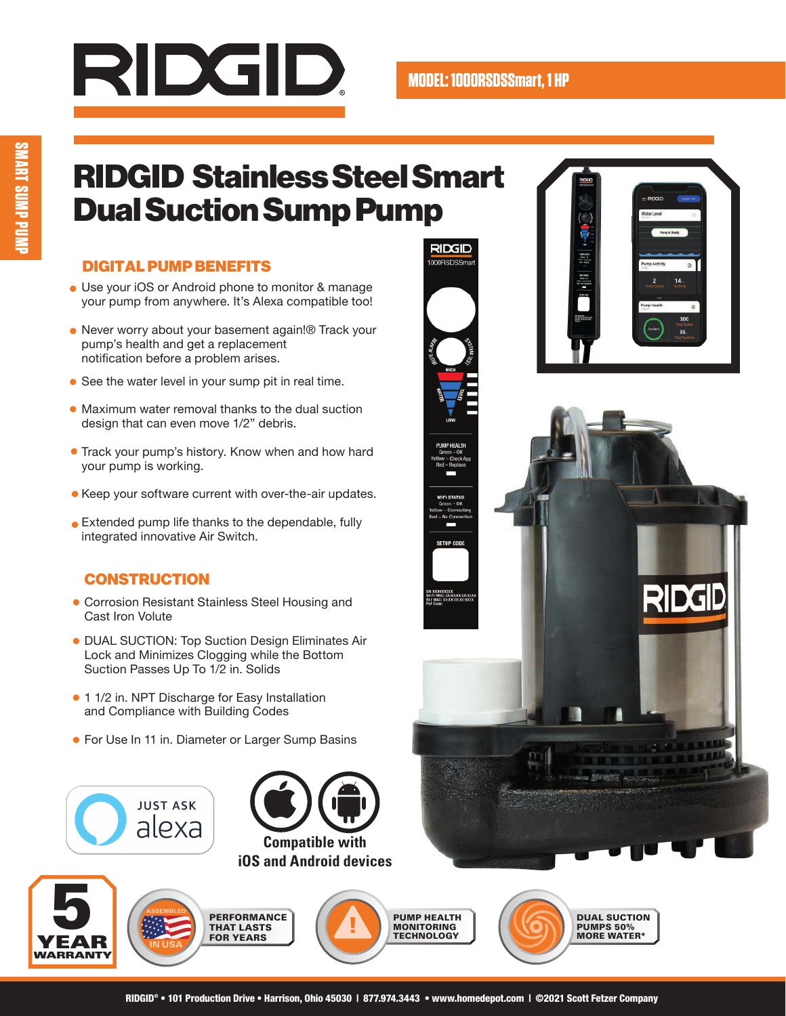# RIDGID.

RIDGID

RIDGID 1000BSDSS

## RIDGID Stainless Steel Smart Dual Suction Sump Pump

#### DIGITAL PUMP BENEFITS

- Use your iOS or Android phone to monitor & manage your pump from anywhere. It's Alexa compatible too!
- Never worry about your basement again!® Track your pump's health and get a replacement notification before a problem arises.
- See the water level in your sump pit in real time.
- Maximum water removal thanks to the dual suction design that can even move 1/2" debris.
- **Track your pump's history. Know when and how hard** your pump is working.
- Keep your software current with over-the-air updates.
- Extended pump life thanks to the dependable, fully integrated innovative Air Switch.

#### **CONSTRUCTION**

- Corrosion Resistant Stainless Steel Housing and Cast Iron Volute
- DUAL SUCTION: Top Suction Design Eliminates Air Lock and Minimizes Clogging while the Bottom Suction Passes Up To 1/2 in. Solids
- 1 1/2 in. NPT Discharge for Easy Installation and Compliance with Building Codes
- **For Use In 11 in. Diameter or Larger Sump Basins**